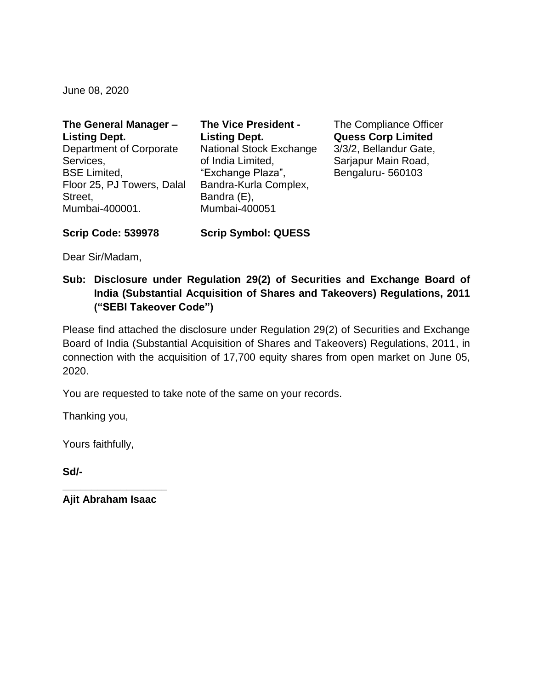June 08, 2020

| The General Manager -      | <b>The Vice President -</b>    |
|----------------------------|--------------------------------|
| <b>Listing Dept.</b>       | <b>Listing Dept.</b>           |
| Department of Corporate    | <b>National Stock Exchange</b> |
| Services,                  | of India Limited,              |
| <b>BSE Limited,</b>        | "Exchange Plaza",              |
| Floor 25, PJ Towers, Dalal | Bandra-Kurla Complex,          |
| Street,                    | Bandra (E),                    |
| Mumbai-400001.             | Mumbai-400051                  |

The Compliance Officer **Quess Corp Limited** 3/3/2, Bellandur Gate, Sarjapur Main Road, Bengaluru- 560103

**Scrip Code: 539978 Scrip Symbol: QUESS**

Dear Sir/Madam,

**Sub: Disclosure under Regulation 29(2) of Securities and Exchange Board of India (Substantial Acquisition of Shares and Takeovers) Regulations, 2011 ("SEBI Takeover Code")**

Please find attached the disclosure under Regulation 29(2) of Securities and Exchange Board of India (Substantial Acquisition of Shares and Takeovers) Regulations, 2011, in connection with the acquisition of 17,700 equity shares from open market on June 05, 2020.

You are requested to take note of the same on your records.

Thanking you,

Yours faithfully,

**Sd/-**

**\_\_\_\_\_\_\_\_\_\_\_\_\_\_\_\_\_\_ Ajit Abraham Isaac**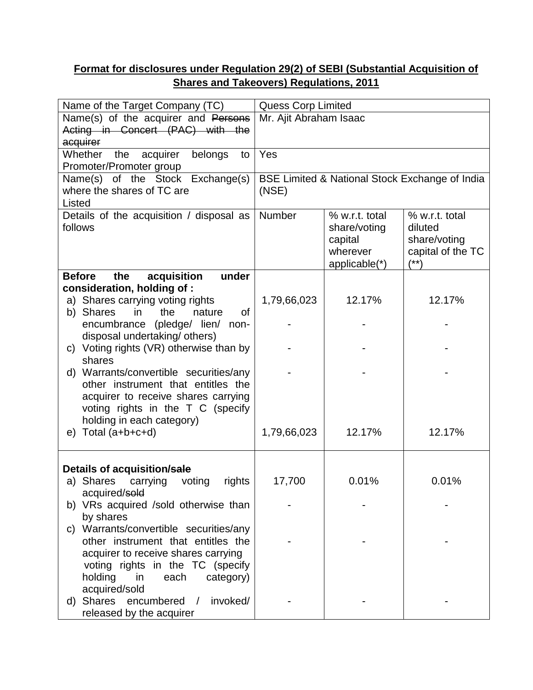## **Format for disclosures under Regulation 29(2) of SEBI (Substantial Acquisition of Shares and Takeovers) Regulations, 2011**

| Name of the Target Company (TC)                                             |                                                | <b>Quess Corp Limited</b> |                   |  |
|-----------------------------------------------------------------------------|------------------------------------------------|---------------------------|-------------------|--|
| Name(s) of the acquirer and Persons                                         | Mr. Ajit Abraham Isaac                         |                           |                   |  |
| Acting in Concert (PAC) with the                                            |                                                |                           |                   |  |
| acquirer                                                                    |                                                |                           |                   |  |
| Whether<br>the<br>acquirer<br>belongs<br>to                                 | Yes                                            |                           |                   |  |
| Promoter/Promoter group                                                     |                                                |                           |                   |  |
| Name(s) of the Stock Exchange(s)                                            | BSE Limited & National Stock Exchange of India |                           |                   |  |
| where the shares of TC are                                                  | (NSE)                                          |                           |                   |  |
| Listed                                                                      |                                                |                           |                   |  |
| Details of the acquisition / disposal as                                    | Number                                         | % w.r.t. total            | % w.r.t. total    |  |
| follows                                                                     |                                                | share/voting              | diluted           |  |
|                                                                             |                                                | capital                   | share/voting      |  |
|                                                                             |                                                | wherever                  | capital of the TC |  |
|                                                                             |                                                | applicable(*)             | $(***)$           |  |
| acquisition<br>under<br><b>Before</b><br>the                                |                                                |                           |                   |  |
| consideration, holding of:                                                  |                                                | 12.17%                    | 12.17%            |  |
| a) Shares carrying voting rights<br>of<br>b) Shares<br>the<br>nature<br>in. | 1,79,66,023                                    |                           |                   |  |
| encumbrance (pledge/ lien/ non-                                             |                                                |                           |                   |  |
| disposal undertaking/ others)                                               |                                                |                           |                   |  |
| c) Voting rights (VR) otherwise than by                                     |                                                |                           |                   |  |
| shares                                                                      |                                                |                           |                   |  |
| d) Warrants/convertible securities/any                                      |                                                |                           |                   |  |
| other instrument that entitles the                                          |                                                |                           |                   |  |
| acquirer to receive shares carrying                                         |                                                |                           |                   |  |
| voting rights in the T C (specify                                           |                                                |                           |                   |  |
| holding in each category)                                                   |                                                |                           |                   |  |
| Total (a+b+c+d)<br>e)                                                       | 1,79,66,023                                    | 12.17%                    | 12.17%            |  |
|                                                                             |                                                |                           |                   |  |
|                                                                             |                                                |                           |                   |  |
| Details of acquisition/sale                                                 |                                                |                           |                   |  |
| a) Shares<br>carrying<br>voting<br>rights                                   | 17,700                                         | 0.01%                     | 0.01%             |  |
| acquired/sold                                                               |                                                |                           |                   |  |
| b) VRs acquired /sold otherwise than                                        |                                                |                           |                   |  |
| by shares                                                                   |                                                |                           |                   |  |
| Warrants/convertible securities/any<br>C)                                   |                                                |                           |                   |  |
| other instrument that entitles the                                          |                                                |                           |                   |  |
| acquirer to receive shares carrying                                         |                                                |                           |                   |  |
| voting rights in the TC (specify                                            |                                                |                           |                   |  |
| holding<br>in<br>each<br>category)                                          |                                                |                           |                   |  |
| acquired/sold<br>Shares                                                     |                                                |                           |                   |  |
| encumbered<br>invoked/<br>$\sqrt{2}$<br>d)                                  |                                                |                           |                   |  |
| released by the acquirer                                                    |                                                |                           |                   |  |